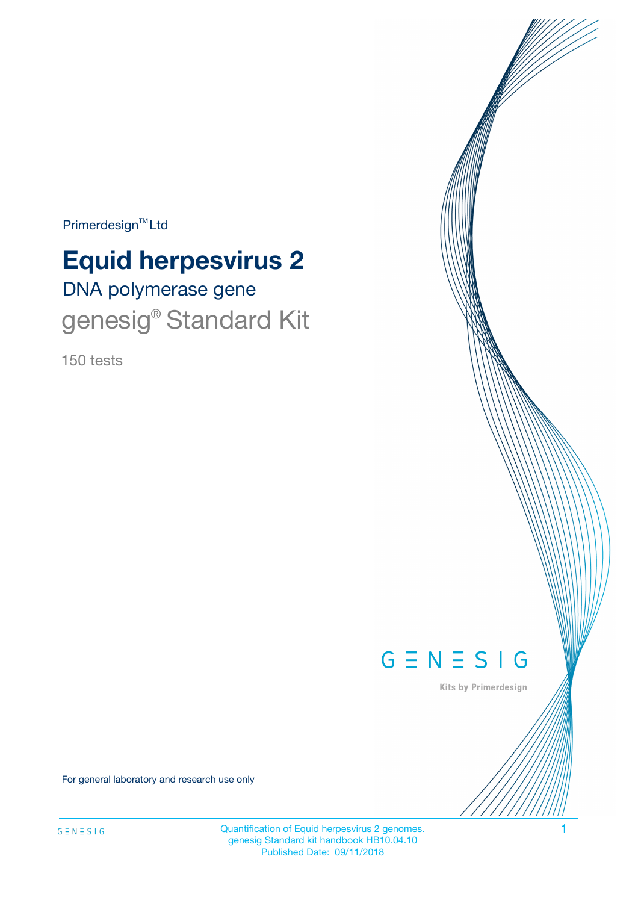Primerdesign<sup>™</sup>Ltd

# DNA polymerase gene **Equid herpesvirus 2** genesig<sup>®</sup> Standard Kit

150 tests



Kits by Primerdesign

For general laboratory and research use only

Quantification of Equid herpesvirus 2 genomes. 1 genesig Standard kit handbook HB10.04.10 Published Date: 09/11/2018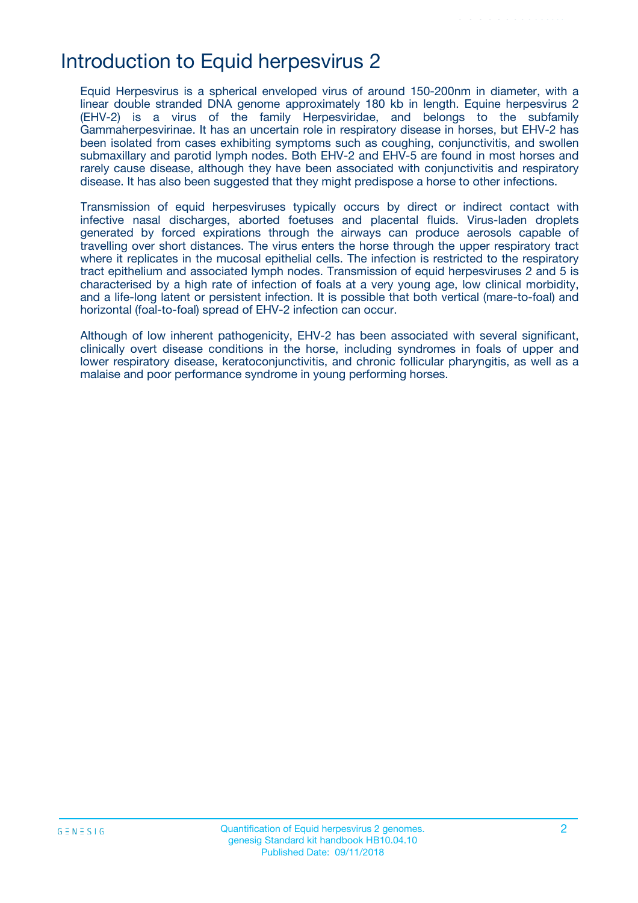## Introduction to Equid herpesvirus 2

Equid Herpesvirus is a spherical enveloped virus of around 150-200nm in diameter, with a linear double stranded DNA genome approximately 180 kb in length. Equine herpesvirus 2 (EHV-2) is a virus of the family Herpesviridae, and belongs to the subfamily Gammaherpesvirinae. It has an uncertain role in respiratory disease in horses, but EHV-2 has been isolated from cases exhibiting symptoms such as coughing, conjunctivitis, and swollen submaxillary and parotid lymph nodes. Both EHV-2 and EHV-5 are found in most horses and rarely cause disease, although they have been associated with conjunctivitis and respiratory disease. It has also been suggested that they might predispose a horse to other infections.

Transmission of equid herpesviruses typically occurs by direct or indirect contact with infective nasal discharges, aborted foetuses and placental fluids. Virus-laden droplets generated by forced expirations through the airways can produce aerosols capable of travelling over short distances. The virus enters the horse through the upper respiratory tract where it replicates in the mucosal epithelial cells. The infection is restricted to the respiratory tract epithelium and associated lymph nodes. Transmission of equid herpesviruses 2 and 5 is characterised by a high rate of infection of foals at a very young age, low clinical morbidity, and a life-long latent or persistent infection. It is possible that both vertical (mare-to-foal) and horizontal (foal-to-foal) spread of EHV-2 infection can occur.

Although of low inherent pathogenicity, EHV-2 has been associated with several significant, clinically overt disease conditions in the horse, including syndromes in foals of upper and lower respiratory disease, keratoconjunctivitis, and chronic follicular pharyngitis, as well as a malaise and poor performance syndrome in young performing horses.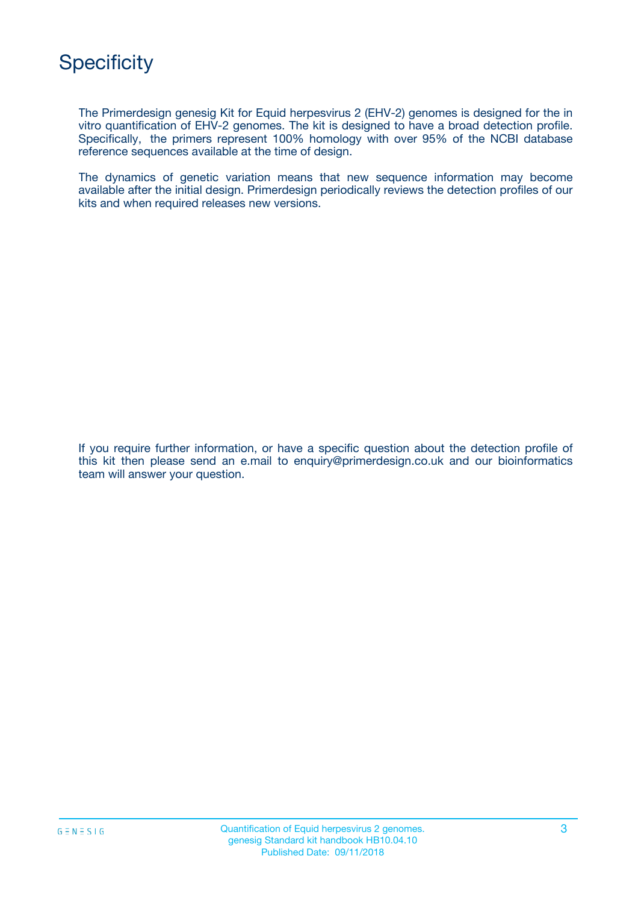

The Primerdesign genesig Kit for Equid herpesvirus 2 (EHV-2) genomes is designed for the in vitro quantification of EHV-2 genomes. The kit is designed to have a broad detection profile. Specifically, the primers represent 100% homology with over 95% of the NCBI database reference sequences available at the time of design.

The dynamics of genetic variation means that new sequence information may become available after the initial design. Primerdesign periodically reviews the detection profiles of our kits and when required releases new versions.

If you require further information, or have a specific question about the detection profile of this kit then please send an e.mail to enquiry@primerdesign.co.uk and our bioinformatics team will answer your question.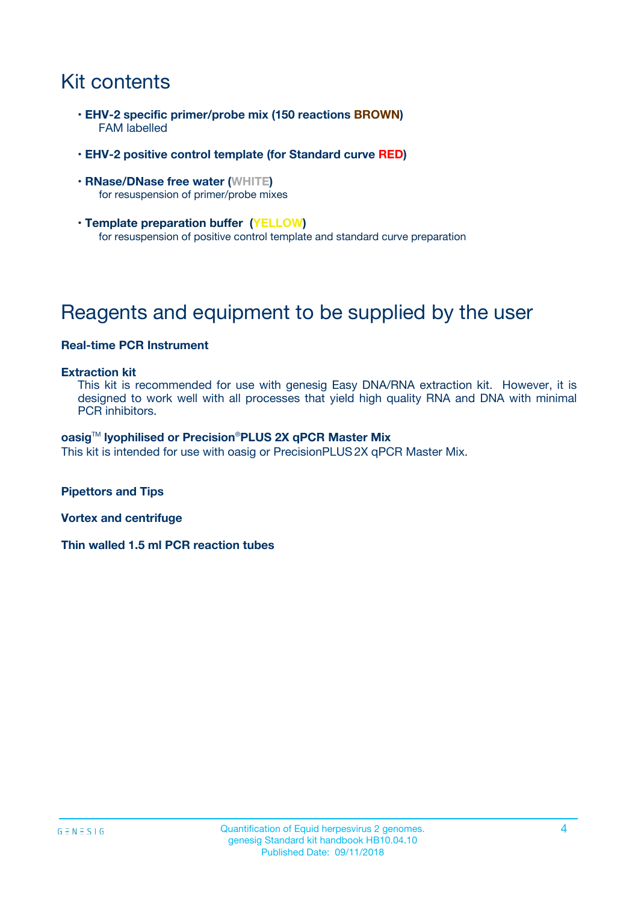## Kit contents

- **EHV-2 specific primer/probe mix (150 reactions BROWN)** FAM labelled
- **EHV-2 positive control template (for Standard curve RED)**
- **RNase/DNase free water (WHITE)** for resuspension of primer/probe mixes
- **Template preparation buffer (YELLOW)** for resuspension of positive control template and standard curve preparation

## Reagents and equipment to be supplied by the user

### **Real-time PCR Instrument**

#### **Extraction kit**

This kit is recommended for use with genesig Easy DNA/RNA extraction kit. However, it is designed to work well with all processes that yield high quality RNA and DNA with minimal PCR inhibitors.

#### **oasig**TM **lyophilised or Precision**®**PLUS 2X qPCR Master Mix**

This kit is intended for use with oasig or PrecisionPLUS2X qPCR Master Mix.

**Pipettors and Tips**

**Vortex and centrifuge**

**Thin walled 1.5 ml PCR reaction tubes**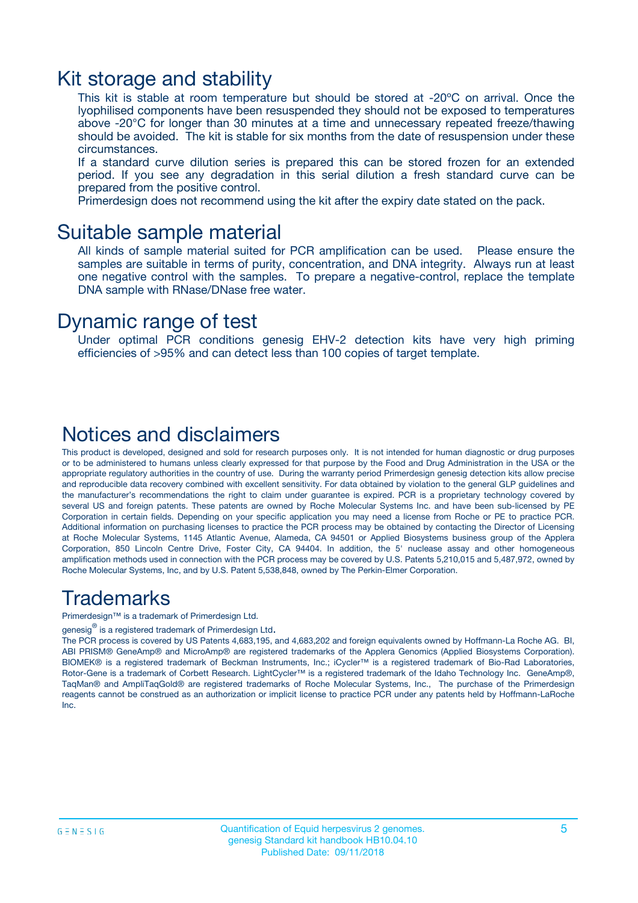### Kit storage and stability

This kit is stable at room temperature but should be stored at -20ºC on arrival. Once the lyophilised components have been resuspended they should not be exposed to temperatures above -20°C for longer than 30 minutes at a time and unnecessary repeated freeze/thawing should be avoided. The kit is stable for six months from the date of resuspension under these circumstances.

If a standard curve dilution series is prepared this can be stored frozen for an extended period. If you see any degradation in this serial dilution a fresh standard curve can be prepared from the positive control.

Primerdesign does not recommend using the kit after the expiry date stated on the pack.

### Suitable sample material

All kinds of sample material suited for PCR amplification can be used. Please ensure the samples are suitable in terms of purity, concentration, and DNA integrity. Always run at least one negative control with the samples. To prepare a negative-control, replace the template DNA sample with RNase/DNase free water.

### Dynamic range of test

Under optimal PCR conditions genesig EHV-2 detection kits have very high priming efficiencies of >95% and can detect less than 100 copies of target template.

### Notices and disclaimers

This product is developed, designed and sold for research purposes only. It is not intended for human diagnostic or drug purposes or to be administered to humans unless clearly expressed for that purpose by the Food and Drug Administration in the USA or the appropriate regulatory authorities in the country of use. During the warranty period Primerdesign genesig detection kits allow precise and reproducible data recovery combined with excellent sensitivity. For data obtained by violation to the general GLP guidelines and the manufacturer's recommendations the right to claim under guarantee is expired. PCR is a proprietary technology covered by several US and foreign patents. These patents are owned by Roche Molecular Systems Inc. and have been sub-licensed by PE Corporation in certain fields. Depending on your specific application you may need a license from Roche or PE to practice PCR. Additional information on purchasing licenses to practice the PCR process may be obtained by contacting the Director of Licensing at Roche Molecular Systems, 1145 Atlantic Avenue, Alameda, CA 94501 or Applied Biosystems business group of the Applera Corporation, 850 Lincoln Centre Drive, Foster City, CA 94404. In addition, the 5' nuclease assay and other homogeneous amplification methods used in connection with the PCR process may be covered by U.S. Patents 5,210,015 and 5,487,972, owned by Roche Molecular Systems, Inc, and by U.S. Patent 5,538,848, owned by The Perkin-Elmer Corporation.

### Trademarks

Primerdesign™ is a trademark of Primerdesign Ltd.

genesig $^\circledR$  is a registered trademark of Primerdesign Ltd.

The PCR process is covered by US Patents 4,683,195, and 4,683,202 and foreign equivalents owned by Hoffmann-La Roche AG. BI, ABI PRISM® GeneAmp® and MicroAmp® are registered trademarks of the Applera Genomics (Applied Biosystems Corporation). BIOMEK® is a registered trademark of Beckman Instruments, Inc.; iCycler™ is a registered trademark of Bio-Rad Laboratories, Rotor-Gene is a trademark of Corbett Research. LightCycler™ is a registered trademark of the Idaho Technology Inc. GeneAmp®, TaqMan® and AmpliTaqGold® are registered trademarks of Roche Molecular Systems, Inc., The purchase of the Primerdesign reagents cannot be construed as an authorization or implicit license to practice PCR under any patents held by Hoffmann-LaRoche Inc.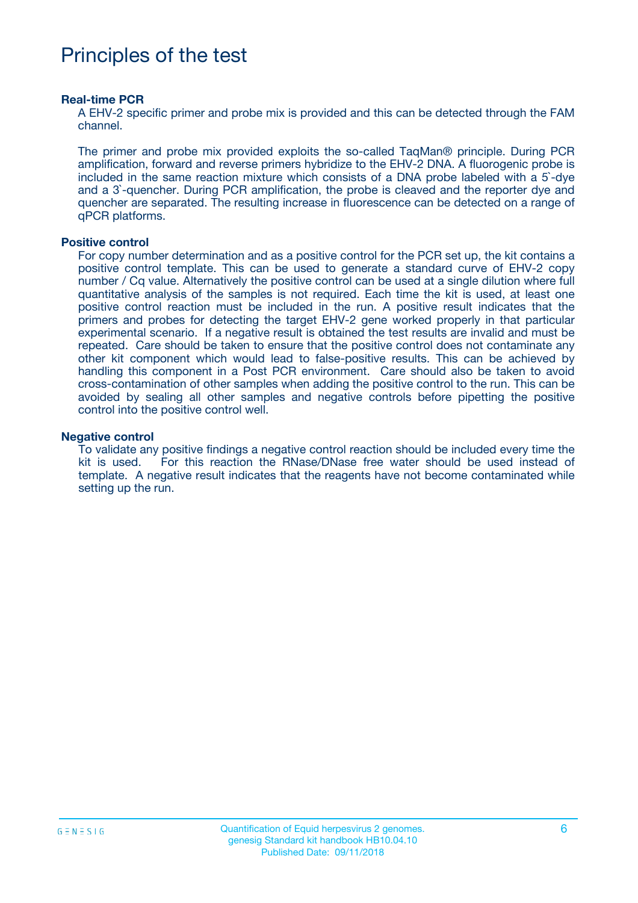## Principles of the test

#### **Real-time PCR**

A EHV-2 specific primer and probe mix is provided and this can be detected through the FAM channel.

The primer and probe mix provided exploits the so-called TaqMan® principle. During PCR amplification, forward and reverse primers hybridize to the EHV-2 DNA. A fluorogenic probe is included in the same reaction mixture which consists of a DNA probe labeled with a 5`-dye and a 3`-quencher. During PCR amplification, the probe is cleaved and the reporter dye and quencher are separated. The resulting increase in fluorescence can be detected on a range of qPCR platforms.

#### **Positive control**

For copy number determination and as a positive control for the PCR set up, the kit contains a positive control template. This can be used to generate a standard curve of EHV-2 copy number / Cq value. Alternatively the positive control can be used at a single dilution where full quantitative analysis of the samples is not required. Each time the kit is used, at least one positive control reaction must be included in the run. A positive result indicates that the primers and probes for detecting the target EHV-2 gene worked properly in that particular experimental scenario. If a negative result is obtained the test results are invalid and must be repeated. Care should be taken to ensure that the positive control does not contaminate any other kit component which would lead to false-positive results. This can be achieved by handling this component in a Post PCR environment. Care should also be taken to avoid cross-contamination of other samples when adding the positive control to the run. This can be avoided by sealing all other samples and negative controls before pipetting the positive control into the positive control well.

#### **Negative control**

To validate any positive findings a negative control reaction should be included every time the kit is used. For this reaction the RNase/DNase free water should be used instead of template. A negative result indicates that the reagents have not become contaminated while setting up the run.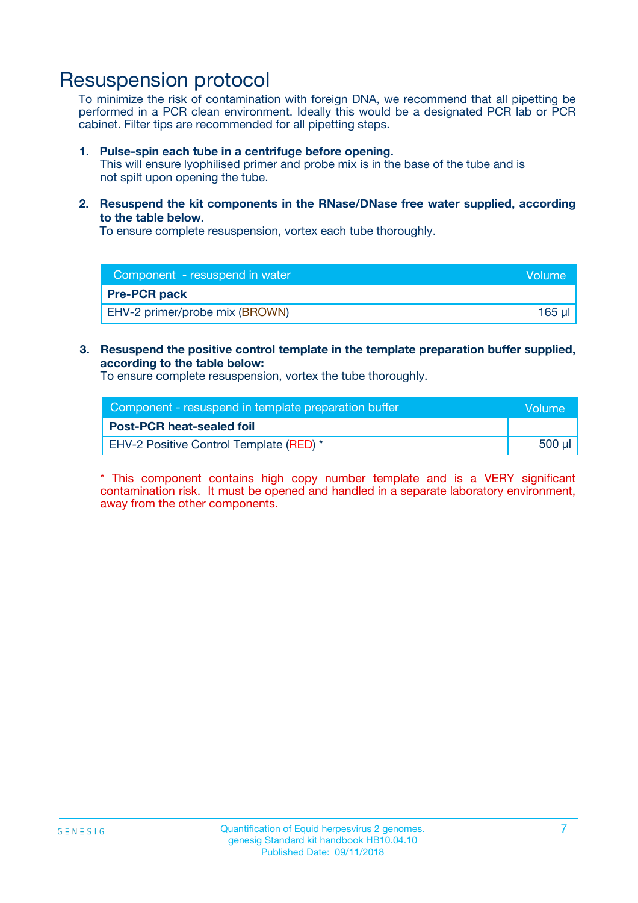## Resuspension protocol

To minimize the risk of contamination with foreign DNA, we recommend that all pipetting be performed in a PCR clean environment. Ideally this would be a designated PCR lab or PCR cabinet. Filter tips are recommended for all pipetting steps.

#### **1. Pulse-spin each tube in a centrifuge before opening.**

This will ensure lyophilised primer and probe mix is in the base of the tube and is not spilt upon opening the tube.

**2. Resuspend the kit components in the RNase/DNase free water supplied, according to the table below.**

To ensure complete resuspension, vortex each tube thoroughly.

| Component - resuspend in water<br>Volume |        |
|------------------------------------------|--------|
| <b>Pre-PCR pack</b>                      |        |
| EHV-2 primer/probe mix (BROWN)           | 165 ul |

### **3. Resuspend the positive control template in the template preparation buffer supplied, according to the table below:**

To ensure complete resuspension, vortex the tube thoroughly.

| Component - resuspend in template preparation buffer | lVolume' |
|------------------------------------------------------|----------|
| <b>Post-PCR heat-sealed foil</b>                     |          |
| <b>EHV-2 Positive Control Template (RED)</b> *       | 500 µl   |

\* This component contains high copy number template and is a VERY significant contamination risk. It must be opened and handled in a separate laboratory environment, away from the other components.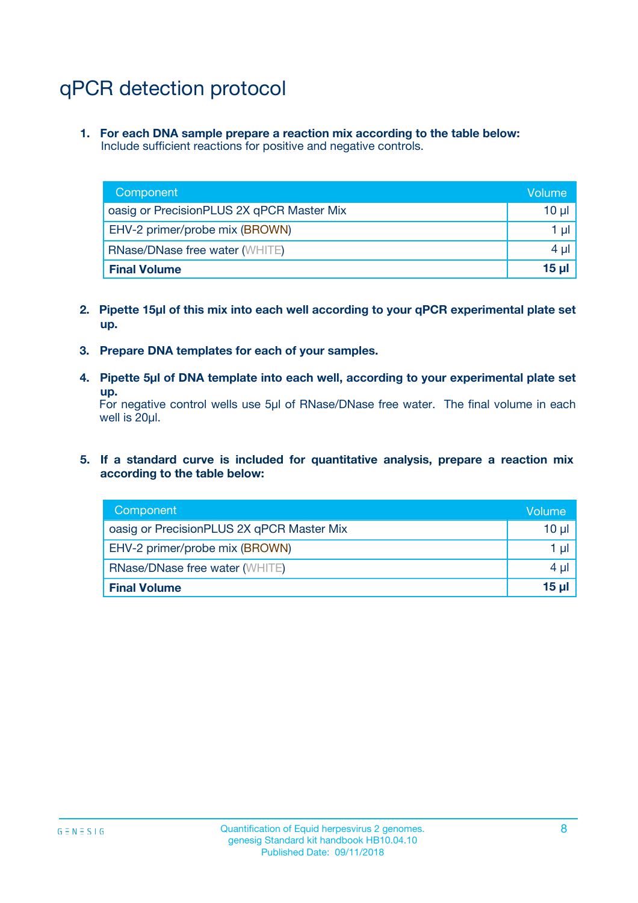## qPCR detection protocol

**1. For each DNA sample prepare a reaction mix according to the table below:** Include sufficient reactions for positive and negative controls.

| Component                                 | Volume           |
|-------------------------------------------|------------------|
| oasig or PrecisionPLUS 2X qPCR Master Mix | 10 $\mu$         |
| EHV-2 primer/probe mix (BROWN)            | 1 $\mu$          |
| <b>RNase/DNase free water (WHITE)</b>     | $4 \mu$          |
| <b>Final Volume</b>                       | 15 <sub>ul</sub> |

- **2. Pipette 15µl of this mix into each well according to your qPCR experimental plate set up.**
- **3. Prepare DNA templates for each of your samples.**
- **4. Pipette 5µl of DNA template into each well, according to your experimental plate set up.**

For negative control wells use 5µl of RNase/DNase free water. The final volume in each well is 20µl.

**5. If a standard curve is included for quantitative analysis, prepare a reaction mix according to the table below:**

| Component                                 | Volume  |
|-------------------------------------------|---------|
| oasig or PrecisionPLUS 2X qPCR Master Mix | 10 µl   |
| EHV-2 primer/probe mix (BROWN)            | 1 µI    |
| <b>RNase/DNase free water (WHITE)</b>     | $4 \mu$ |
| <b>Final Volume</b>                       | 15 µl   |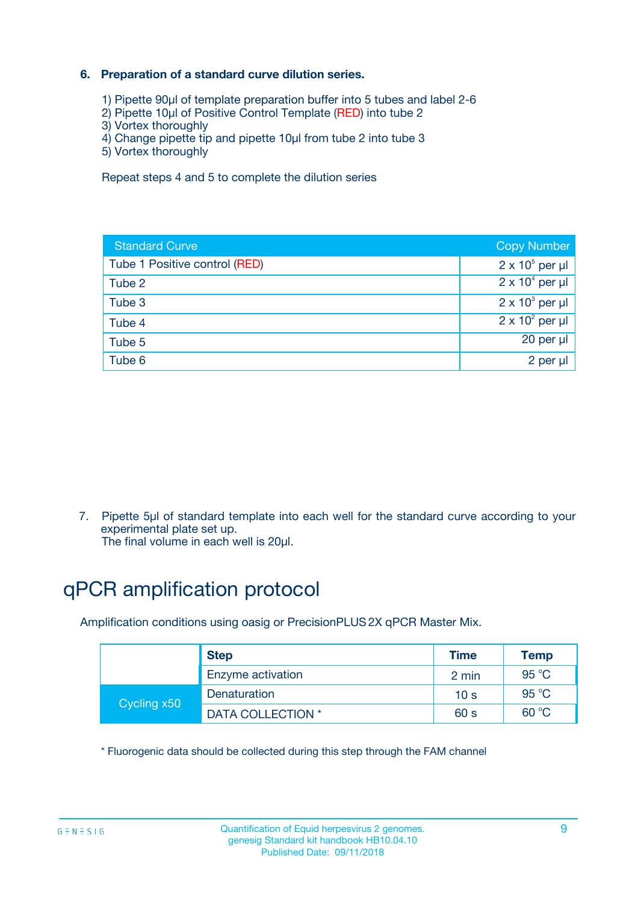### **6. Preparation of a standard curve dilution series.**

- 1) Pipette 90µl of template preparation buffer into 5 tubes and label 2-6
- 2) Pipette 10µl of Positive Control Template (RED) into tube 2
- 3) Vortex thoroughly
- 4) Change pipette tip and pipette 10µl from tube 2 into tube 3
- 5) Vortex thoroughly

Repeat steps 4 and 5 to complete the dilution series

| <b>Standard Curve</b>         | <b>Copy Number</b>     |
|-------------------------------|------------------------|
| Tube 1 Positive control (RED) | $2 \times 10^5$ per µl |
| Tube 2                        | $2 \times 10^4$ per µl |
| Tube 3                        | $2 \times 10^3$ per µl |
| Tube 4                        | $2 \times 10^2$ per µl |
| Tube 5                        | 20 per µl              |
| Tube 6                        | $2$ per $\mu$          |

7. Pipette 5µl of standard template into each well for the standard curve according to your experimental plate set up.

The final volume in each well is 20µl.

## qPCR amplification protocol

Amplification conditions using oasig or PrecisionPLUS2X qPCR Master Mix.

|             | <b>Step</b>       | <b>Time</b>     | Temp           |
|-------------|-------------------|-----------------|----------------|
|             | Enzyme activation | 2 min           | $95^{\circ}$ C |
| Cycling x50 | Denaturation      | 10 <sub>s</sub> | 95 $°C$        |
|             | DATA COLLECTION * | 60 s            | 60 °C          |

\* Fluorogenic data should be collected during this step through the FAM channel